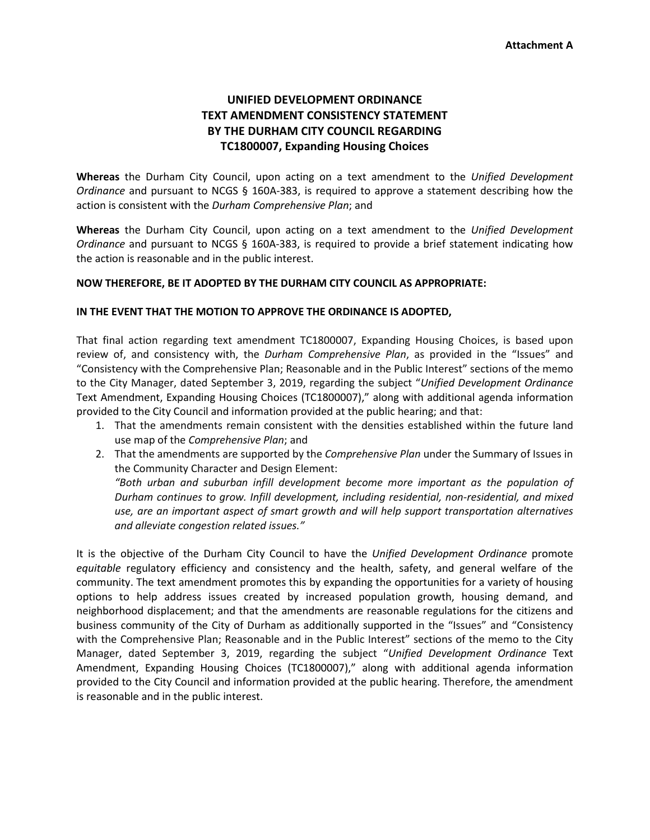## **UNIFIED DEVELOPMENT ORDINANCE TEXT AMENDMENT CONSISTENCY STATEMENT BY THE DURHAM CITY COUNCIL REGARDING TC1800007, Expanding Housing Choices**

**Whereas** the Durham City Council, upon acting on a text amendment to the *Unified Development Ordinance* and pursuant to NCGS § 160A-383, is required to approve a statement describing how the action is consistent with the *Durham Comprehensive Plan*; and

**Whereas** the Durham City Council, upon acting on a text amendment to the *Unified Development Ordinance* and pursuant to NCGS § 160A-383, is required to provide a brief statement indicating how the action is reasonable and in the public interest.

## **NOW THEREFORE, BE IT ADOPTED BY THE DURHAM CITY COUNCIL AS APPROPRIATE:**

## **IN THE EVENT THAT THE MOTION TO APPROVE THE ORDINANCE IS ADOPTED,**

That final action regarding text amendment TC1800007, Expanding Housing Choices, is based upon review of, and consistency with, the *Durham Comprehensive Plan*, as provided in the "Issues" and "Consistency with the Comprehensive Plan; Reasonable and in the Public Interest" sections of the memo to the City Manager, dated September 3, 2019, regarding the subject "*Unified Development Ordinance* Text Amendment, Expanding Housing Choices (TC1800007)," along with additional agenda information provided to the City Council and information provided at the public hearing; and that:

- 1. That the amendments remain consistent with the densities established within the future land use map of the *Comprehensive Plan*; and
- 2. That the amendments are supported by the *Comprehensive Plan* under the Summary of Issues in the Community Character and Design Element:

*"Both urban and suburban infill development become more important as the population of Durham continues to grow. Infill development, including residential, non‐residential, and mixed use, are an important aspect of smart growth and will help support transportation alternatives and alleviate congestion related issues."*

It is the objective of the Durham City Council to have the *Unified Development Ordinance* promote *equitable* regulatory efficiency and consistency and the health, safety, and general welfare of the community. The text amendment promotes this by expanding the opportunities for a variety of housing options to help address issues created by increased population growth, housing demand, and neighborhood displacement; and that the amendments are reasonable regulations for the citizens and business community of the City of Durham as additionally supported in the "Issues" and "Consistency with the Comprehensive Plan; Reasonable and in the Public Interest" sections of the memo to the City Manager, dated September 3, 2019, regarding the subject "*Unified Development Ordinance* Text Amendment, Expanding Housing Choices (TC1800007)," along with additional agenda information provided to the City Council and information provided at the public hearing. Therefore, the amendment is reasonable and in the public interest.